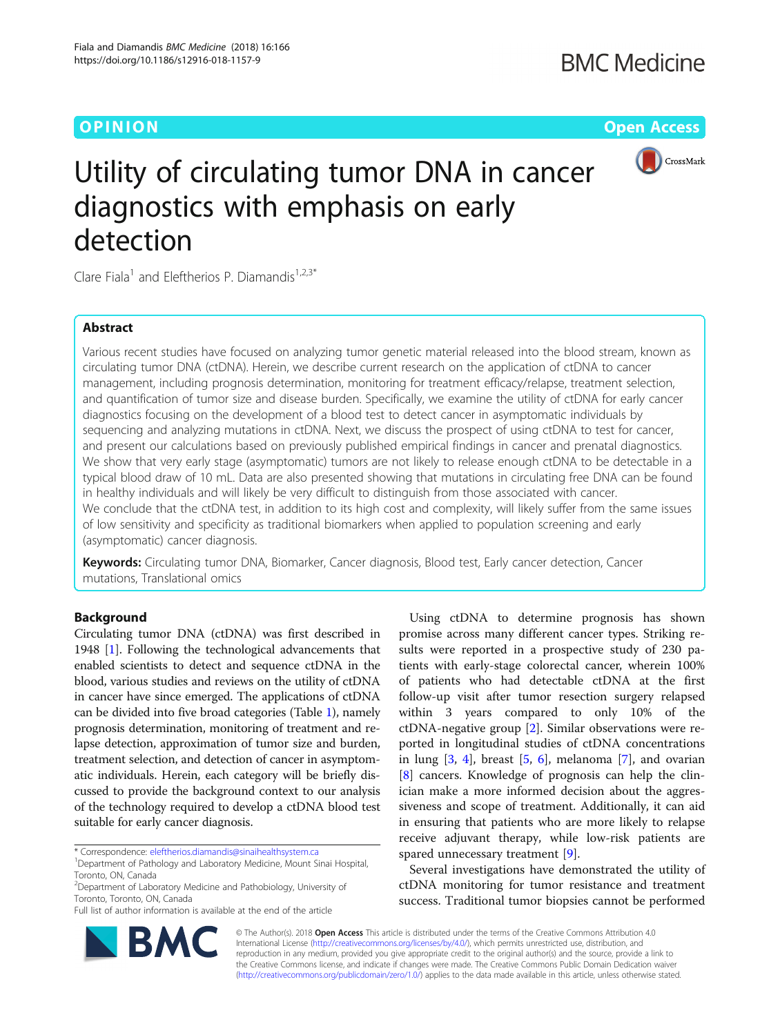# O PINION Open Access



# Utility of circulating tumor DNA in cancer diagnostics with emphasis on early detection

Clare Fiala<sup>1</sup> and Eleftherios P. Diamandis<sup>1,2,3\*</sup>

## Abstract

Various recent studies have focused on analyzing tumor genetic material released into the blood stream, known as circulating tumor DNA (ctDNA). Herein, we describe current research on the application of ctDNA to cancer management, including prognosis determination, monitoring for treatment efficacy/relapse, treatment selection, and quantification of tumor size and disease burden. Specifically, we examine the utility of ctDNA for early cancer diagnostics focusing on the development of a blood test to detect cancer in asymptomatic individuals by sequencing and analyzing mutations in ctDNA. Next, we discuss the prospect of using ctDNA to test for cancer, and present our calculations based on previously published empirical findings in cancer and prenatal diagnostics. We show that very early stage (asymptomatic) tumors are not likely to release enough ctDNA to be detectable in a typical blood draw of 10 mL. Data are also presented showing that mutations in circulating free DNA can be found in healthy individuals and will likely be very difficult to distinguish from those associated with cancer. We conclude that the ctDNA test, in addition to its high cost and complexity, will likely suffer from the same issues of low sensitivity and specificity as traditional biomarkers when applied to population screening and early (asymptomatic) cancer diagnosis.

Keywords: Circulating tumor DNA, Biomarker, Cancer diagnosis, Blood test, Early cancer detection, Cancer mutations, Translational omics

### Background

Circulating tumor DNA (ctDNA) was first described in 1948 [\[1\]](#page-8-0). Following the technological advancements that enabled scientists to detect and sequence ctDNA in the blood, various studies and reviews on the utility of ctDNA in cancer have since emerged. The applications of ctDNA can be divided into five broad categories (Table [1\)](#page-1-0), namely prognosis determination, monitoring of treatment and relapse detection, approximation of tumor size and burden, treatment selection, and detection of cancer in asymptomatic individuals. Herein, each category will be briefly discussed to provide the background context to our analysis of the technology required to develop a ctDNA blood test suitable for early cancer diagnosis.

\* Correspondence: [eleftherios.diamandis@sinaihealthsystem.ca](mailto:eleftherios.diamandis@sinaihealthsystem.ca) <sup>1</sup>

Using ctDNA to determine prognosis has shown promise across many different cancer types. Striking results were reported in a prospective study of 230 patients with early-stage colorectal cancer, wherein 100% of patients who had detectable ctDNA at the first follow-up visit after tumor resection surgery relapsed within 3 years compared to only 10% of the ctDNA-negative group [[2](#page-8-0)]. Similar observations were reported in longitudinal studies of ctDNA concentrations in lung  $[3, 4]$  $[3, 4]$  $[3, 4]$  $[3, 4]$ , breast  $[5, 6]$  $[5, 6]$  $[5, 6]$  $[5, 6]$ , melanoma  $[7]$ , and ovarian [[8\]](#page-8-0) cancers. Knowledge of prognosis can help the clinician make a more informed decision about the aggressiveness and scope of treatment. Additionally, it can aid in ensuring that patients who are more likely to relapse receive adjuvant therapy, while low-risk patients are spared unnecessary treatment [[9\]](#page-8-0).

Several investigations have demonstrated the utility of ctDNA monitoring for tumor resistance and treatment success. Traditional tumor biopsies cannot be performed



© The Author(s). 2018 Open Access This article is distributed under the terms of the Creative Commons Attribution 4.0 International License [\(http://creativecommons.org/licenses/by/4.0/](http://creativecommons.org/licenses/by/4.0/)), which permits unrestricted use, distribution, and reproduction in any medium, provided you give appropriate credit to the original author(s) and the source, provide a link to the Creative Commons license, and indicate if changes were made. The Creative Commons Public Domain Dedication waiver [\(http://creativecommons.org/publicdomain/zero/1.0/](http://creativecommons.org/publicdomain/zero/1.0/)) applies to the data made available in this article, unless otherwise stated.

<sup>&</sup>lt;sup>1</sup>Department of Pathology and Laboratory Medicine, Mount Sinai Hospital,

Toronto, ON, Canada

<sup>&</sup>lt;sup>2</sup>Department of Laboratory Medicine and Pathobiology, University of Toronto, Toronto, ON, Canada

Full list of author information is available at the end of the article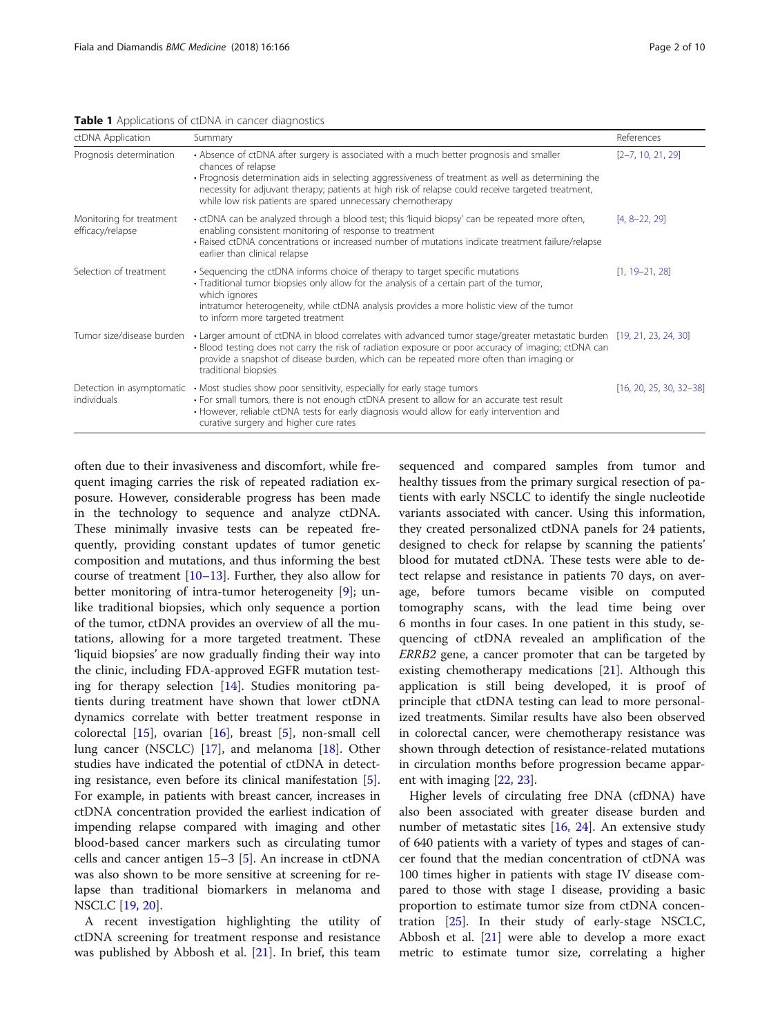<span id="page-1-0"></span>

| ctDNA Application                            | Summary                                                                                                                                                                                                                                                                                                                                                                                  | References                |
|----------------------------------------------|------------------------------------------------------------------------------------------------------------------------------------------------------------------------------------------------------------------------------------------------------------------------------------------------------------------------------------------------------------------------------------------|---------------------------|
| Prognosis determination                      | • Absence of ctDNA after surgery is associated with a much better prognosis and smaller<br>chances of relapse<br>· Prognosis determination aids in selecting aggressiveness of treatment as well as determining the<br>necessity for adjuvant therapy; patients at high risk of relapse could receive targeted treatment,<br>while low risk patients are spared unnecessary chemotherapy | $[2-7, 10, 21, 29]$       |
| Monitoring for treatment<br>efficacy/relapse | • ctDNA can be analyzed through a blood test; this 'liquid biopsy' can be repeated more often,<br>enabling consistent monitoring of response to treatment<br>· Raised ctDNA concentrations or increased number of mutations indicate treatment failure/relapse<br>earlier than clinical relapse                                                                                          | $[4, 8-22, 29]$           |
| Selection of treatment                       | • Sequencing the ctDNA informs choice of therapy to target specific mutations<br>• Traditional tumor biopsies only allow for the analysis of a certain part of the tumor,<br>which ignores<br>intratumor heterogeneity, while ctDNA analysis provides a more holistic view of the tumor<br>to inform more targeted treatment                                                             | $[1, 19-21, 28]$          |
|                                              | Tumor size/disease burden • Larger amount of ctDNA in blood correlates with advanced tumor stage/greater metastatic burden [19, 21, 23, 24, 30]<br>• Blood testing does not carry the risk of radiation exposure or poor accuracy of imaging; ctDNA can<br>provide a snapshot of disease burden, which can be repeated more often than imaging or<br>traditional biopsies                |                           |
| individuals                                  | Detection in asymptomatic • Most studies show poor sensitivity, especially for early stage tumors<br>• For small tumors, there is not enough ctDNA present to allow for an accurate test result<br>• However, reliable ctDNA tests for early diagnosis would allow for early intervention and<br>curative surgery and higher cure rates                                                  | $[16, 20, 25, 30, 32-38]$ |

often due to their invasiveness and discomfort, while frequent imaging carries the risk of repeated radiation exposure. However, considerable progress has been made in the technology to sequence and analyze ctDNA. These minimally invasive tests can be repeated frequently, providing constant updates of tumor genetic composition and mutations, and thus informing the best course of treatment [[10](#page-8-0)–[13](#page-8-0)]. Further, they also allow for better monitoring of intra-tumor heterogeneity [[9\]](#page-8-0); unlike traditional biopsies, which only sequence a portion of the tumor, ctDNA provides an overview of all the mutations, allowing for a more targeted treatment. These 'liquid biopsies' are now gradually finding their way into the clinic, including FDA-approved EGFR mutation testing for therapy selection  $[14]$  $[14]$ . Studies monitoring patients during treatment have shown that lower ctDNA dynamics correlate with better treatment response in colorectal [[15](#page-8-0)], ovarian [[16\]](#page-8-0), breast [[5](#page-8-0)], non-small cell lung cancer (NSCLC) [\[17](#page-8-0)], and melanoma [[18](#page-8-0)]. Other studies have indicated the potential of ctDNA in detecting resistance, even before its clinical manifestation [\[5](#page-8-0)]. For example, in patients with breast cancer, increases in ctDNA concentration provided the earliest indication of impending relapse compared with imaging and other blood-based cancer markers such as circulating tumor cells and cancer antigen 15–3 [\[5](#page-8-0)]. An increase in ctDNA was also shown to be more sensitive at screening for relapse than traditional biomarkers in melanoma and NSCLC [\[19](#page-8-0), [20\]](#page-8-0).

A recent investigation highlighting the utility of ctDNA screening for treatment response and resistance was published by Abbosh et al. [\[21](#page-8-0)]. In brief, this team sequenced and compared samples from tumor and healthy tissues from the primary surgical resection of patients with early NSCLC to identify the single nucleotide variants associated with cancer. Using this information, they created personalized ctDNA panels for 24 patients, designed to check for relapse by scanning the patients' blood for mutated ctDNA. These tests were able to detect relapse and resistance in patients 70 days, on average, before tumors became visible on computed tomography scans, with the lead time being over 6 months in four cases. In one patient in this study, sequencing of ctDNA revealed an amplification of the ERRB2 gene, a cancer promoter that can be targeted by existing chemotherapy medications [[21](#page-8-0)]. Although this application is still being developed, it is proof of principle that ctDNA testing can lead to more personalized treatments. Similar results have also been observed in colorectal cancer, were chemotherapy resistance was shown through detection of resistance-related mutations in circulation months before progression became apparent with imaging [\[22,](#page-8-0) [23\]](#page-8-0).

Higher levels of circulating free DNA (cfDNA) have also been associated with greater disease burden and number of metastatic sites [[16](#page-8-0), [24](#page-8-0)]. An extensive study of 640 patients with a variety of types and stages of cancer found that the median concentration of ctDNA was 100 times higher in patients with stage IV disease compared to those with stage I disease, providing a basic proportion to estimate tumor size from ctDNA concentration [\[25\]](#page-8-0). In their study of early-stage NSCLC, Abbosh et al.  $[21]$  were able to develop a more exact metric to estimate tumor size, correlating a higher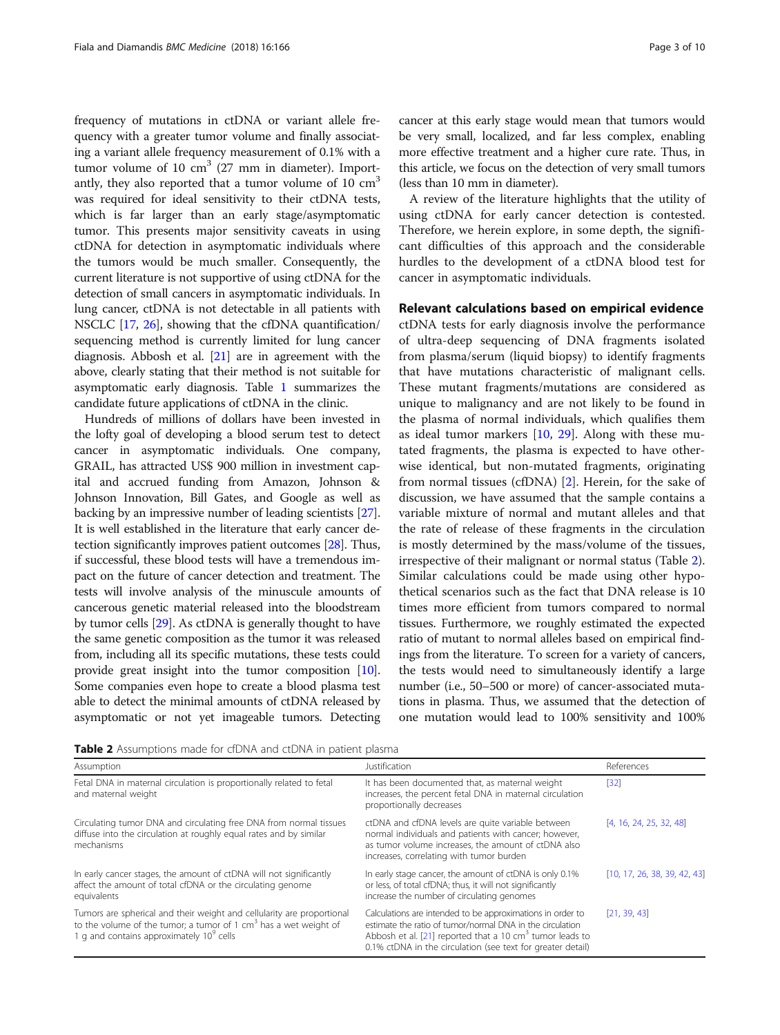<span id="page-2-0"></span>frequency of mutations in ctDNA or variant allele frequency with a greater tumor volume and finally associating a variant allele frequency measurement of 0.1% with a tumor volume of 10  $\text{cm}^3$  (27 mm in diameter). Importantly, they also reported that a tumor volume of  $10 \text{ cm}^3$ was required for ideal sensitivity to their ctDNA tests, which is far larger than an early stage/asymptomatic tumor. This presents major sensitivity caveats in using ctDNA for detection in asymptomatic individuals where the tumors would be much smaller. Consequently, the current literature is not supportive of using ctDNA for the detection of small cancers in asymptomatic individuals. In lung cancer, ctDNA is not detectable in all patients with NSCLC [\[17,](#page-8-0) [26](#page-8-0)], showing that the cfDNA quantification/ sequencing method is currently limited for lung cancer diagnosis. Abbosh et al. [\[21](#page-8-0)] are in agreement with the above, clearly stating that their method is not suitable for asymptomatic early diagnosis. Table [1](#page-1-0) summarizes the candidate future applications of ctDNA in the clinic.

Hundreds of millions of dollars have been invested in the lofty goal of developing a blood serum test to detect cancer in asymptomatic individuals. One company, GRAIL, has attracted US\$ 900 million in investment capital and accrued funding from Amazon, Johnson & Johnson Innovation, Bill Gates, and Google as well as backing by an impressive number of leading scientists [[27](#page-8-0)]. It is well established in the literature that early cancer detection significantly improves patient outcomes [\[28](#page-8-0)]. Thus, if successful, these blood tests will have a tremendous impact on the future of cancer detection and treatment. The tests will involve analysis of the minuscule amounts of cancerous genetic material released into the bloodstream by tumor cells [\[29\]](#page-8-0). As ctDNA is generally thought to have the same genetic composition as the tumor it was released from, including all its specific mutations, these tests could provide great insight into the tumor composition [[10](#page-8-0)]. Some companies even hope to create a blood plasma test able to detect the minimal amounts of ctDNA released by asymptomatic or not yet imageable tumors. Detecting

cancer at this early stage would mean that tumors would be very small, localized, and far less complex, enabling more effective treatment and a higher cure rate. Thus, in this article, we focus on the detection of very small tumors (less than 10 mm in diameter).

A review of the literature highlights that the utility of using ctDNA for early cancer detection is contested. Therefore, we herein explore, in some depth, the significant difficulties of this approach and the considerable hurdles to the development of a ctDNA blood test for cancer in asymptomatic individuals.

#### Relevant calculations based on empirical evidence

ctDNA tests for early diagnosis involve the performance of ultra-deep sequencing of DNA fragments isolated from plasma/serum (liquid biopsy) to identify fragments that have mutations characteristic of malignant cells. These mutant fragments/mutations are considered as unique to malignancy and are not likely to be found in the plasma of normal individuals, which qualifies them as ideal tumor markers [\[10,](#page-8-0) [29](#page-8-0)]. Along with these mutated fragments, the plasma is expected to have otherwise identical, but non-mutated fragments, originating from normal tissues (cfDNA) [[2\]](#page-8-0). Herein, for the sake of discussion, we have assumed that the sample contains a variable mixture of normal and mutant alleles and that the rate of release of these fragments in the circulation is mostly determined by the mass/volume of the tissues, irrespective of their malignant or normal status (Table 2). Similar calculations could be made using other hypothetical scenarios such as the fact that DNA release is 10 times more efficient from tumors compared to normal tissues. Furthermore, we roughly estimated the expected ratio of mutant to normal alleles based on empirical findings from the literature. To screen for a variety of cancers, the tests would need to simultaneously identify a large number (i.e., 50–500 or more) of cancer-associated mutations in plasma. Thus, we assumed that the detection of one mutation would lead to 100% sensitivity and 100%

Table 2 Assumptions made for cfDNA and ctDNA in patient plasma

| Assumption                                                                                                                                                                                           | Justification                                                                                                                                                                                                                                        | References                   |
|------------------------------------------------------------------------------------------------------------------------------------------------------------------------------------------------------|------------------------------------------------------------------------------------------------------------------------------------------------------------------------------------------------------------------------------------------------------|------------------------------|
| Fetal DNA in maternal circulation is proportionally related to fetal<br>and maternal weight                                                                                                          | It has been documented that, as maternal weight<br>increases, the percent fetal DNA in maternal circulation<br>proportionally decreases                                                                                                              | [32]                         |
| Circulating tumor DNA and circulating free DNA from normal tissues<br>diffuse into the circulation at roughly equal rates and by similar<br>mechanisms                                               | ctDNA and cfDNA levels are quite variable between<br>normal individuals and patients with cancer; however,<br>as tumor volume increases, the amount of ctDNA also<br>increases, correlating with tumor burden                                        | [4, 16, 24, 25, 32, 48]      |
| In early cancer stages, the amount of ctDNA will not significantly<br>affect the amount of total cfDNA or the circulating genome<br>equivalents                                                      | In early stage cancer, the amount of ctDNA is only 0.1%<br>or less, of total cfDNA; thus, it will not significantly<br>increase the number of circulating genomes                                                                                    | [10, 17, 26, 38, 39, 42, 43] |
| Tumors are spherical and their weight and cellularity are proportional<br>to the volume of the tumor; a tumor of 1 $cm3$ has a wet weight of<br>1 g and contains approximately 10 <sup>9</sup> cells | Calculations are intended to be approximations in order to<br>estimate the ratio of tumor/normal DNA in the circulation<br>Abbosh et al. [21] reported that a 10 $cm3$ tumor leads to<br>0.1% ctDNA in the circulation (see text for greater detail) | [21, 39, 43]                 |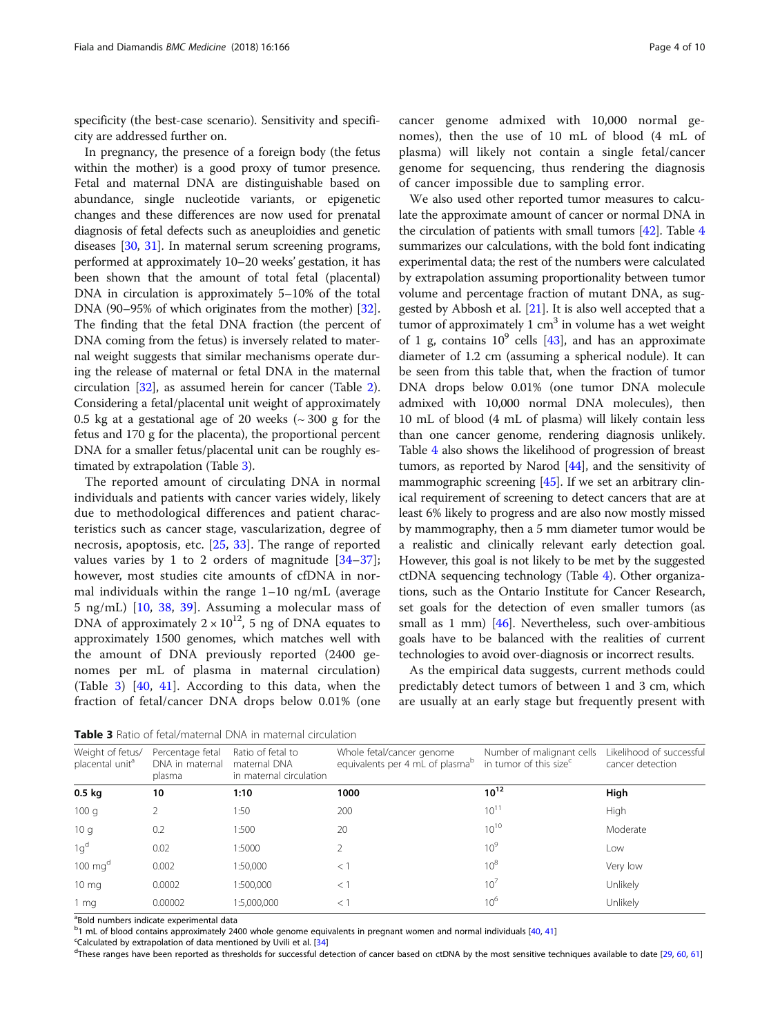<span id="page-3-0"></span>specificity (the best-case scenario). Sensitivity and specificity are addressed further on.

In pregnancy, the presence of a foreign body (the fetus within the mother) is a good proxy of tumor presence. Fetal and maternal DNA are distinguishable based on abundance, single nucleotide variants, or epigenetic changes and these differences are now used for prenatal diagnosis of fetal defects such as aneuploidies and genetic diseases [\[30,](#page-8-0) [31](#page-8-0)]. In maternal serum screening programs, performed at approximately 10–20 weeks' gestation, it has been shown that the amount of total fetal (placental) DNA in circulation is approximately 5–10% of the total DNA (90–95% of which originates from the mother) [[32](#page-8-0)]. The finding that the fetal DNA fraction (the percent of DNA coming from the fetus) is inversely related to maternal weight suggests that similar mechanisms operate during the release of maternal or fetal DNA in the maternal circulation [\[32](#page-8-0)], as assumed herein for cancer (Table [2](#page-2-0)). Considering a fetal/placental unit weight of approximately 0.5 kg at a gestational age of 20 weeks  $\sim$  300 g for the fetus and 170 g for the placenta), the proportional percent DNA for a smaller fetus/placental unit can be roughly estimated by extrapolation (Table 3).

The reported amount of circulating DNA in normal individuals and patients with cancer varies widely, likely due to methodological differences and patient characteristics such as cancer stage, vascularization, degree of necrosis, apoptosis, etc. [[25,](#page-8-0) [33](#page-8-0)]. The range of reported values varies by 1 to 2 orders of magnitude  $[34-37]$  $[34-37]$  $[34-37]$  $[34-37]$  $[34-37]$ ; however, most studies cite amounts of cfDNA in normal individuals within the range 1–10 ng/mL (average 5 ng/mL) [[10,](#page-8-0) [38](#page-8-0), [39\]](#page-8-0). Assuming a molecular mass of DNA of approximately  $2 \times 10^{12}$ , 5 ng of DNA equates to approximately 1500 genomes, which matches well with the amount of DNA previously reported (2400 genomes per mL of plasma in maternal circulation) (Table 3) [\[40](#page-8-0), [41\]](#page-8-0). According to this data, when the fraction of fetal/cancer DNA drops below 0.01% (one

cancer genome admixed with 10,000 normal genomes), then the use of 10 mL of blood (4 mL of plasma) will likely not contain a single fetal/cancer genome for sequencing, thus rendering the diagnosis of cancer impossible due to sampling error.

We also used other reported tumor measures to calculate the approximate amount of cancer or normal DNA in the circulation of patients with small tumors [\[42\]](#page-8-0). Table [4](#page-4-0) summarizes our calculations, with the bold font indicating experimental data; the rest of the numbers were calculated by extrapolation assuming proportionality between tumor volume and percentage fraction of mutant DNA, as suggested by Abbosh et al.  $[21]$ . It is also well accepted that a tumor of approximately 1  $cm<sup>3</sup>$  in volume has a wet weight of 1 g, contains  $10^9$  cells [\[43\]](#page-9-0), and has an approximate diameter of 1.2 cm (assuming a spherical nodule). It can be seen from this table that, when the fraction of tumor DNA drops below 0.01% (one tumor DNA molecule admixed with 10,000 normal DNA molecules), then 10 mL of blood (4 mL of plasma) will likely contain less than one cancer genome, rendering diagnosis unlikely. Table [4](#page-4-0) also shows the likelihood of progression of breast tumors, as reported by Narod [\[44](#page-9-0)], and the sensitivity of mammographic screening  $[45]$ . If we set an arbitrary clinical requirement of screening to detect cancers that are at least 6% likely to progress and are also now mostly missed by mammography, then a 5 mm diameter tumor would be a realistic and clinically relevant early detection goal. However, this goal is not likely to be met by the suggested ctDNA sequencing technology (Table [4](#page-4-0)). Other organizations, such as the Ontario Institute for Cancer Research, set goals for the detection of even smaller tumors (as small as 1 mm) [[46](#page-9-0)]. Nevertheless, such over-ambitious goals have to be balanced with the realities of current technologies to avoid over-diagnosis or incorrect results.

As the empirical data suggests, current methods could predictably detect tumors of between 1 and 3 cm, which are usually at an early stage but frequently present with

Table 3 Ratio of fetal/maternal DNA in maternal circulation

| Weight of fetus/<br>placental unit <sup>a</sup> | Percentage fetal<br>DNA in maternal<br>plasma | Ratio of fetal to<br>maternal DNA<br>in maternal circulation | Whole fetal/cancer genome<br>equivalents per 4 mL of plasma <sup>b</sup> | Number of malignant cells<br>in tumor of this size <sup>c</sup> | Likelihood of successful<br>cancer detection |
|-------------------------------------------------|-----------------------------------------------|--------------------------------------------------------------|--------------------------------------------------------------------------|-----------------------------------------------------------------|----------------------------------------------|
| $0.5$ kg                                        | 10                                            | 1:10                                                         | 1000                                                                     | $10^{12}$                                                       | High                                         |
| 100q                                            |                                               | 1:50                                                         | 200                                                                      | $10^{11}$                                                       | High                                         |
| 10q                                             | 0.2                                           | 1:500                                                        | 20                                                                       | $10^{10}$                                                       | Moderate                                     |
| 1g <sup>d</sup>                                 | 0.02                                          | 1:5000                                                       |                                                                          | $10^9$                                                          | Low                                          |
| $100 \text{ mg}^d$                              | 0.002                                         | 1:50,000                                                     | $\lt$ 1                                                                  | 10 <sup>8</sup>                                                 | Very low                                     |
| $10 \text{ mg}$                                 | 0.0002                                        | 1:500,000                                                    | $\lt$ 1                                                                  | 10 <sup>7</sup>                                                 | Unlikely                                     |
| 1 <sub>mg</sub>                                 | 0.00002                                       | 1:5,000,000                                                  | $<$ 1                                                                    | $10^{6}$                                                        | Unlikely                                     |

<sup>a</sup>Bold numbers indicate experimental data

 $b<sup>b</sup>$ 1 mL of blood contains approximately 2400 whole genome equivalents in pregnant women and normal individuals [[40,](#page-8-0) [41](#page-8-0)] can be contained by extensivities of data mentioned by Unili at al. [24]

 $c$ Calculated by extrapolation of data mentioned by Uvili et al. [[34\]](#page-8-0)

 $d$ These ranges have been reported as thresholds for successful detection of cancer based on ctDNA by the most sensitive techniques available to date [\[29,](#page-8-0) [60](#page-9-0), [61\]](#page-9-0)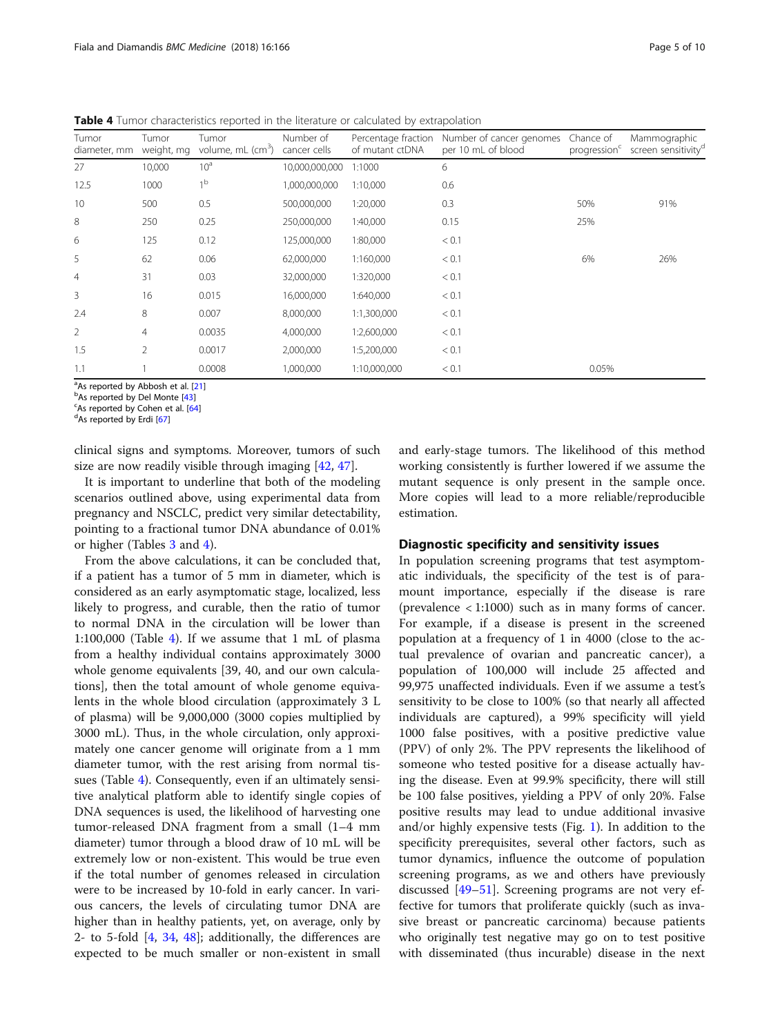| Tumor<br>diameter, mm | Tumor<br>weight, mg | Tumor<br>volume, mL (cm <sup>3</sup> ) | Number of<br>cancer cells | Percentage fraction<br>of mutant ctDNA | Number of cancer genomes<br>per 10 mL of blood | Chance of<br>progression <sup>c</sup> | Mammographic<br>screen sensitivity <sup>c</sup> |
|-----------------------|---------------------|----------------------------------------|---------------------------|----------------------------------------|------------------------------------------------|---------------------------------------|-------------------------------------------------|
| 27                    | 10,000              | 10 <sup>a</sup>                        | 10,000,000,000            | 1:1000                                 | 6                                              |                                       |                                                 |
| 12.5                  | 1000                | 1 <sup>b</sup>                         | 1,000,000,000             | 1:10,000                               | 0.6                                            |                                       |                                                 |
| 10                    | 500                 | 0.5                                    | 500,000,000               | 1:20,000                               | 0.3                                            | 50%                                   | 91%                                             |
| 8                     | 250                 | 0.25                                   | 250,000,000               | 1:40,000                               | 0.15                                           | 25%                                   |                                                 |
| 6                     | 125                 | 0.12                                   | 125,000,000               | 1:80,000                               | < 0.1                                          |                                       |                                                 |
| 5                     | 62                  | 0.06                                   | 62,000,000                | 1:160,000                              | < 0.1                                          | 6%                                    | 26%                                             |
| 4                     | 31                  | 0.03                                   | 32,000,000                | 1:320,000                              | < 0.1                                          |                                       |                                                 |
| 3                     | 16                  | 0.015                                  | 16,000,000                | 1:640,000                              | < 0.1                                          |                                       |                                                 |
| 2.4                   | 8                   | 0.007                                  | 8,000,000                 | 1:1,300,000                            | < 0.1                                          |                                       |                                                 |
| 2                     | $\overline{4}$      | 0.0035                                 | 4,000,000                 | 1:2,600,000                            | < 0.1                                          |                                       |                                                 |
| 1.5                   | $\overline{2}$      | 0.0017                                 | 2,000,000                 | 1:5,200,000                            | < 0.1                                          |                                       |                                                 |
| 1.1                   |                     | 0.0008                                 | 1,000,000                 | 1:10,000,000                           | < 0.1                                          | 0.05%                                 |                                                 |
|                       |                     |                                        |                           |                                        |                                                |                                       |                                                 |

<span id="page-4-0"></span>**Table 4** Tumor characteristics reported in the literature or calculated by extrapolation

<sup>a</sup>As reported by Abbosh et al. [\[21](#page-8-0)]<br><sup>b</sup>As reported by Del Monte [43]

<sup>b</sup>As reported by Del Monte [[43\]](#page-9-0)

 $A$ s reported by Cohen et al. [[64\]](#page-9-0)

<sup>d</sup>As reported by Erdi [[67](#page-9-0)]

clinical signs and symptoms. Moreover, tumors of such size are now readily visible through imaging [\[42,](#page-8-0) [47\]](#page-9-0).

It is important to underline that both of the modeling scenarios outlined above, using experimental data from pregnancy and NSCLC, predict very similar detectability, pointing to a fractional tumor DNA abundance of 0.01% or higher (Tables [3](#page-3-0) and 4).

From the above calculations, it can be concluded that, if a patient has a tumor of 5 mm in diameter, which is considered as an early asymptomatic stage, localized, less likely to progress, and curable, then the ratio of tumor to normal DNA in the circulation will be lower than 1:100,000 (Table 4). If we assume that 1 mL of plasma from a healthy individual contains approximately 3000 whole genome equivalents [39, 40, and our own calculations], then the total amount of whole genome equivalents in the whole blood circulation (approximately 3 L of plasma) will be 9,000,000 (3000 copies multiplied by 3000 mL). Thus, in the whole circulation, only approximately one cancer genome will originate from a 1 mm diameter tumor, with the rest arising from normal tissues (Table 4). Consequently, even if an ultimately sensitive analytical platform able to identify single copies of DNA sequences is used, the likelihood of harvesting one tumor-released DNA fragment from a small (1–4 mm diameter) tumor through a blood draw of 10 mL will be extremely low or non-existent. This would be true even if the total number of genomes released in circulation were to be increased by 10-fold in early cancer. In various cancers, the levels of circulating tumor DNA are higher than in healthy patients, yet, on average, only by 2- to 5-fold  $[4, 34, 48]$  $[4, 34, 48]$  $[4, 34, 48]$  $[4, 34, 48]$  $[4, 34, 48]$ ; additionally, the differences are expected to be much smaller or non-existent in small and early-stage tumors. The likelihood of this method working consistently is further lowered if we assume the mutant sequence is only present in the sample once. More copies will lead to a more reliable/reproducible estimation.

#### Diagnostic specificity and sensitivity issues

In population screening programs that test asymptomatic individuals, the specificity of the test is of paramount importance, especially if the disease is rare (prevalence  $\langle 1:1000 \rangle$  such as in many forms of cancer. For example, if a disease is present in the screened population at a frequency of 1 in 4000 (close to the actual prevalence of ovarian and pancreatic cancer), a population of 100,000 will include 25 affected and 99,975 unaffected individuals. Even if we assume a test's sensitivity to be close to 100% (so that nearly all affected individuals are captured), a 99% specificity will yield 1000 false positives, with a positive predictive value (PPV) of only 2%. The PPV represents the likelihood of someone who tested positive for a disease actually having the disease. Even at 99.9% specificity, there will still be 100 false positives, yielding a PPV of only 20%. False positive results may lead to undue additional invasive and/or highly expensive tests (Fig. [1](#page-5-0)). In addition to the specificity prerequisites, several other factors, such as tumor dynamics, influence the outcome of population screening programs, as we and others have previously discussed [\[49](#page-9-0)–[51\]](#page-9-0). Screening programs are not very effective for tumors that proliferate quickly (such as invasive breast or pancreatic carcinoma) because patients who originally test negative may go on to test positive with disseminated (thus incurable) disease in the next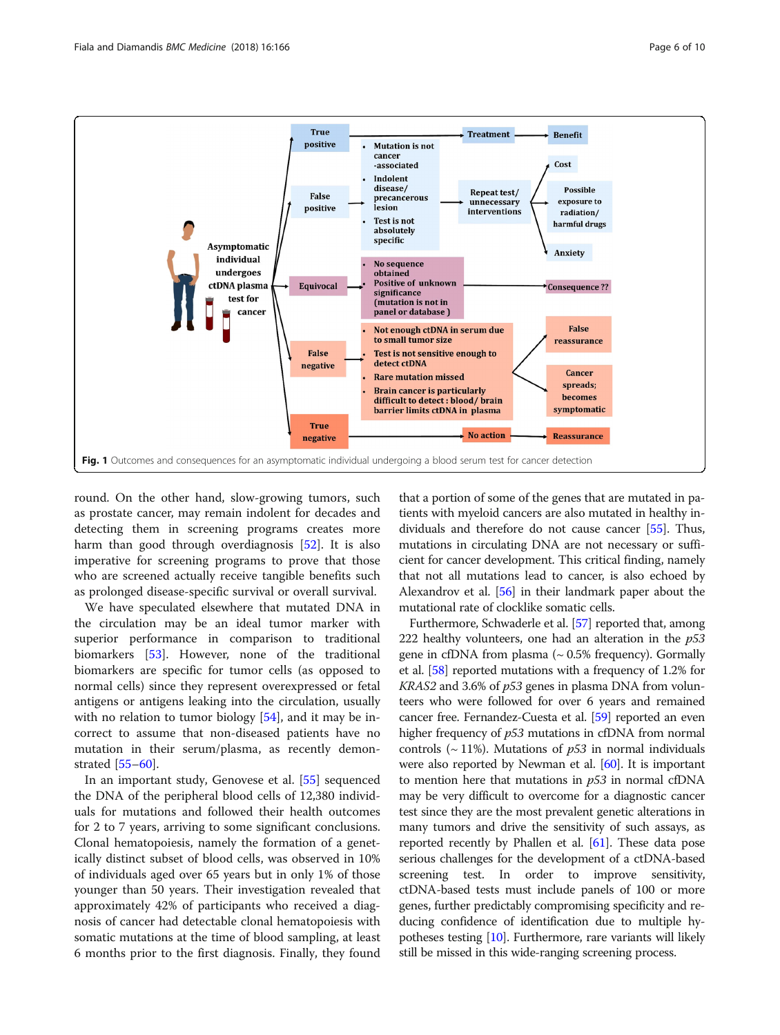<span id="page-5-0"></span>

round. On the other hand, slow-growing tumors, such as prostate cancer, may remain indolent for decades and detecting them in screening programs creates more harm than good through overdiagnosis [\[52\]](#page-9-0). It is also imperative for screening programs to prove that those who are screened actually receive tangible benefits such as prolonged disease-specific survival or overall survival.

We have speculated elsewhere that mutated DNA in the circulation may be an ideal tumor marker with superior performance in comparison to traditional biomarkers [[53\]](#page-9-0). However, none of the traditional biomarkers are specific for tumor cells (as opposed to normal cells) since they represent overexpressed or fetal antigens or antigens leaking into the circulation, usually with no relation to tumor biology [\[54](#page-9-0)], and it may be incorrect to assume that non-diseased patients have no mutation in their serum/plasma, as recently demonstrated [[55](#page-9-0)–[60](#page-9-0)].

In an important study, Genovese et al. [[55](#page-9-0)] sequenced the DNA of the peripheral blood cells of 12,380 individuals for mutations and followed their health outcomes for 2 to 7 years, arriving to some significant conclusions. Clonal hematopoiesis, namely the formation of a genetically distinct subset of blood cells, was observed in 10% of individuals aged over 65 years but in only 1% of those younger than 50 years. Their investigation revealed that approximately 42% of participants who received a diagnosis of cancer had detectable clonal hematopoiesis with somatic mutations at the time of blood sampling, at least 6 months prior to the first diagnosis. Finally, they found that a portion of some of the genes that are mutated in patients with myeloid cancers are also mutated in healthy individuals and therefore do not cause cancer [[55](#page-9-0)]. Thus, mutations in circulating DNA are not necessary or sufficient for cancer development. This critical finding, namely that not all mutations lead to cancer, is also echoed by Alexandrov et al. [\[56\]](#page-9-0) in their landmark paper about the mutational rate of clocklike somatic cells.

Furthermore, Schwaderle et al. [[57](#page-9-0)] reported that, among 222 healthy volunteers, one had an alteration in the  $p53$ gene in cfDNA from plasma  $({\sim} 0.5\%$  frequency). Gormally et al. [\[58](#page-9-0)] reported mutations with a frequency of 1.2% for  $KRAS2$  and 3.6% of  $p53$  genes in plasma DNA from volunteers who were followed for over 6 years and remained cancer free. Fernandez-Cuesta et al. [\[59\]](#page-9-0) reported an even higher frequency of  $p53$  mutations in cfDNA from normal controls ( $\sim$  11%). Mutations of  $p53$  in normal individuals were also reported by Newman et al. [\[60\]](#page-9-0). It is important to mention here that mutations in  $p53$  in normal cfDNA may be very difficult to overcome for a diagnostic cancer test since they are the most prevalent genetic alterations in many tumors and drive the sensitivity of such assays, as reported recently by Phallen et al. [\[61](#page-9-0)]. These data pose serious challenges for the development of a ctDNA-based screening test. In order to improve sensitivity, ctDNA-based tests must include panels of 100 or more genes, further predictably compromising specificity and reducing confidence of identification due to multiple hypotheses testing [\[10\]](#page-8-0). Furthermore, rare variants will likely still be missed in this wide-ranging screening process.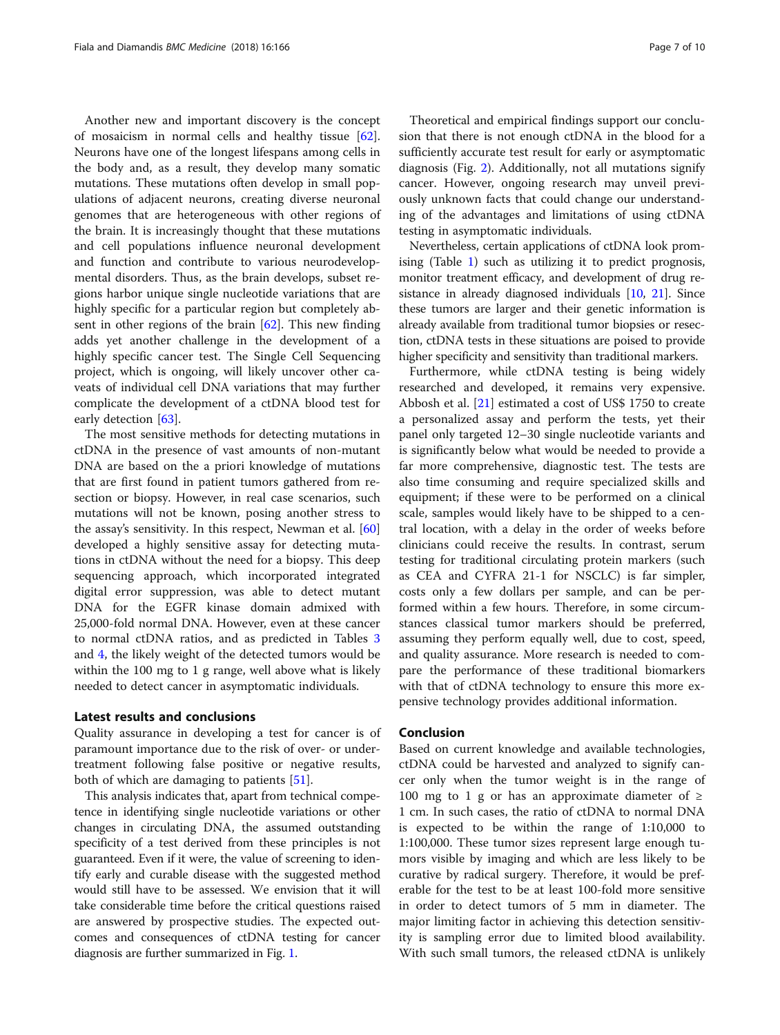Another new and important discovery is the concept of mosaicism in normal cells and healthy tissue [\[62](#page-9-0)]. Neurons have one of the longest lifespans among cells in the body and, as a result, they develop many somatic mutations. These mutations often develop in small populations of adjacent neurons, creating diverse neuronal genomes that are heterogeneous with other regions of the brain. It is increasingly thought that these mutations and cell populations influence neuronal development and function and contribute to various neurodevelopmental disorders. Thus, as the brain develops, subset regions harbor unique single nucleotide variations that are highly specific for a particular region but completely absent in other regions of the brain  $[62]$  $[62]$ . This new finding adds yet another challenge in the development of a highly specific cancer test. The Single Cell Sequencing project, which is ongoing, will likely uncover other caveats of individual cell DNA variations that may further complicate the development of a ctDNA blood test for early detection [\[63\]](#page-9-0).

The most sensitive methods for detecting mutations in ctDNA in the presence of vast amounts of non-mutant DNA are based on the a priori knowledge of mutations that are first found in patient tumors gathered from resection or biopsy. However, in real case scenarios, such mutations will not be known, posing another stress to the assay's sensitivity. In this respect, Newman et al. [[60](#page-9-0)] developed a highly sensitive assay for detecting mutations in ctDNA without the need for a biopsy. This deep sequencing approach, which incorporated integrated digital error suppression, was able to detect mutant DNA for the EGFR kinase domain admixed with 25,000-fold normal DNA. However, even at these cancer to normal ctDNA ratios, and as predicted in Tables [3](#page-3-0) and [4,](#page-4-0) the likely weight of the detected tumors would be within the 100 mg to 1 g range, well above what is likely needed to detect cancer in asymptomatic individuals.

#### Latest results and conclusions

Quality assurance in developing a test for cancer is of paramount importance due to the risk of over- or undertreatment following false positive or negative results, both of which are damaging to patients [\[51\]](#page-9-0).

This analysis indicates that, apart from technical competence in identifying single nucleotide variations or other changes in circulating DNA, the assumed outstanding specificity of a test derived from these principles is not guaranteed. Even if it were, the value of screening to identify early and curable disease with the suggested method would still have to be assessed. We envision that it will take considerable time before the critical questions raised are answered by prospective studies. The expected outcomes and consequences of ctDNA testing for cancer diagnosis are further summarized in Fig. [1](#page-5-0).

Theoretical and empirical findings support our conclusion that there is not enough ctDNA in the blood for a sufficiently accurate test result for early or asymptomatic diagnosis (Fig. [2](#page-7-0)). Additionally, not all mutations signify cancer. However, ongoing research may unveil previously unknown facts that could change our understanding of the advantages and limitations of using ctDNA testing in asymptomatic individuals.

Nevertheless, certain applications of ctDNA look promising (Table [1](#page-1-0)) such as utilizing it to predict prognosis, monitor treatment efficacy, and development of drug resistance in already diagnosed individuals [\[10](#page-8-0), [21](#page-8-0)]. Since these tumors are larger and their genetic information is already available from traditional tumor biopsies or resection, ctDNA tests in these situations are poised to provide higher specificity and sensitivity than traditional markers.

Furthermore, while ctDNA testing is being widely researched and developed, it remains very expensive. Abbosh et al. [[21\]](#page-8-0) estimated a cost of US\$ 1750 to create a personalized assay and perform the tests, yet their panel only targeted 12–30 single nucleotide variants and is significantly below what would be needed to provide a far more comprehensive, diagnostic test. The tests are also time consuming and require specialized skills and equipment; if these were to be performed on a clinical scale, samples would likely have to be shipped to a central location, with a delay in the order of weeks before clinicians could receive the results. In contrast, serum testing for traditional circulating protein markers (such as CEA and CYFRA 21-1 for NSCLC) is far simpler, costs only a few dollars per sample, and can be performed within a few hours. Therefore, in some circumstances classical tumor markers should be preferred, assuming they perform equally well, due to cost, speed, and quality assurance. More research is needed to compare the performance of these traditional biomarkers with that of ctDNA technology to ensure this more expensive technology provides additional information.

### Conclusion

Based on current knowledge and available technologies, ctDNA could be harvested and analyzed to signify cancer only when the tumor weight is in the range of 100 mg to 1 g or has an approximate diameter of  $\ge$ 1 cm. In such cases, the ratio of ctDNA to normal DNA is expected to be within the range of 1:10,000 to 1:100,000. These tumor sizes represent large enough tumors visible by imaging and which are less likely to be curative by radical surgery. Therefore, it would be preferable for the test to be at least 100-fold more sensitive in order to detect tumors of 5 mm in diameter. The major limiting factor in achieving this detection sensitivity is sampling error due to limited blood availability. With such small tumors, the released ctDNA is unlikely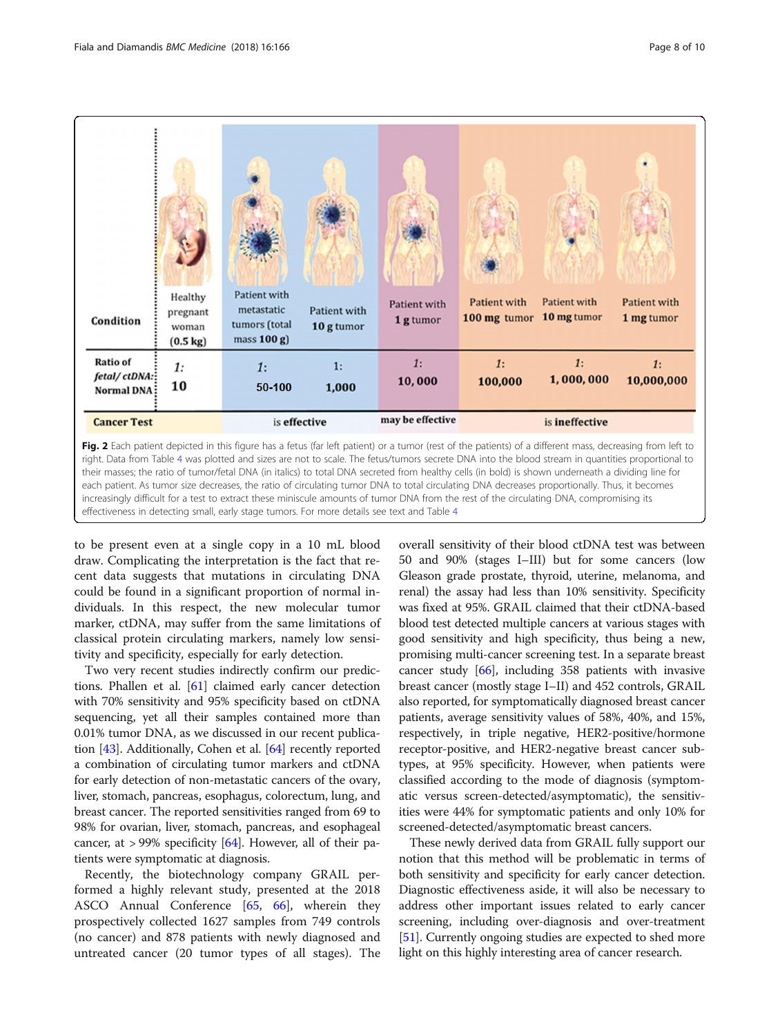<span id="page-7-0"></span>

to be present even at a single copy in a 10 mL blood draw. Complicating the interpretation is the fact that recent data suggests that mutations in circulating DNA could be found in a significant proportion of normal individuals. In this respect, the new molecular tumor marker, ctDNA, may suffer from the same limitations of classical protein circulating markers, namely low sensitivity and specificity, especially for early detection.

Two very recent studies indirectly confirm our predictions. Phallen et al. [[61](#page-9-0)] claimed early cancer detection with 70% sensitivity and 95% specificity based on ctDNA sequencing, yet all their samples contained more than 0.01% tumor DNA, as we discussed in our recent publication [[43](#page-9-0)]. Additionally, Cohen et al. [[64](#page-9-0)] recently reported a combination of circulating tumor markers and ctDNA for early detection of non-metastatic cancers of the ovary, liver, stomach, pancreas, esophagus, colorectum, lung, and breast cancer. The reported sensitivities ranged from 69 to 98% for ovarian, liver, stomach, pancreas, and esophageal cancer, at  $> 99\%$  specificity [[64\]](#page-9-0). However, all of their patients were symptomatic at diagnosis.

Recently, the biotechnology company GRAIL performed a highly relevant study, presented at the 2018 ASCO Annual Conference [\[65](#page-9-0), [66](#page-9-0)], wherein they prospectively collected 1627 samples from 749 controls (no cancer) and 878 patients with newly diagnosed and untreated cancer (20 tumor types of all stages). The

overall sensitivity of their blood ctDNA test was between 50 and 90% (stages I–III) but for some cancers (low Gleason grade prostate, thyroid, uterine, melanoma, and renal) the assay had less than 10% sensitivity. Specificity was fixed at 95%. GRAIL claimed that their ctDNA-based blood test detected multiple cancers at various stages with good sensitivity and high specificity, thus being a new, promising multi-cancer screening test. In a separate breast cancer study [[66](#page-9-0)], including 358 patients with invasive breast cancer (mostly stage I–II) and 452 controls, GRAIL also reported, for symptomatically diagnosed breast cancer patients, average sensitivity values of 58%, 40%, and 15%, respectively, in triple negative, HER2-positive/hormone receptor-positive, and HER2-negative breast cancer subtypes, at 95% specificity. However, when patients were classified according to the mode of diagnosis (symptomatic versus screen-detected/asymptomatic), the sensitivities were 44% for symptomatic patients and only 10% for screened-detected/asymptomatic breast cancers.

These newly derived data from GRAIL fully support our notion that this method will be problematic in terms of both sensitivity and specificity for early cancer detection. Diagnostic effectiveness aside, it will also be necessary to address other important issues related to early cancer screening, including over-diagnosis and over-treatment [[51](#page-9-0)]. Currently ongoing studies are expected to shed more light on this highly interesting area of cancer research.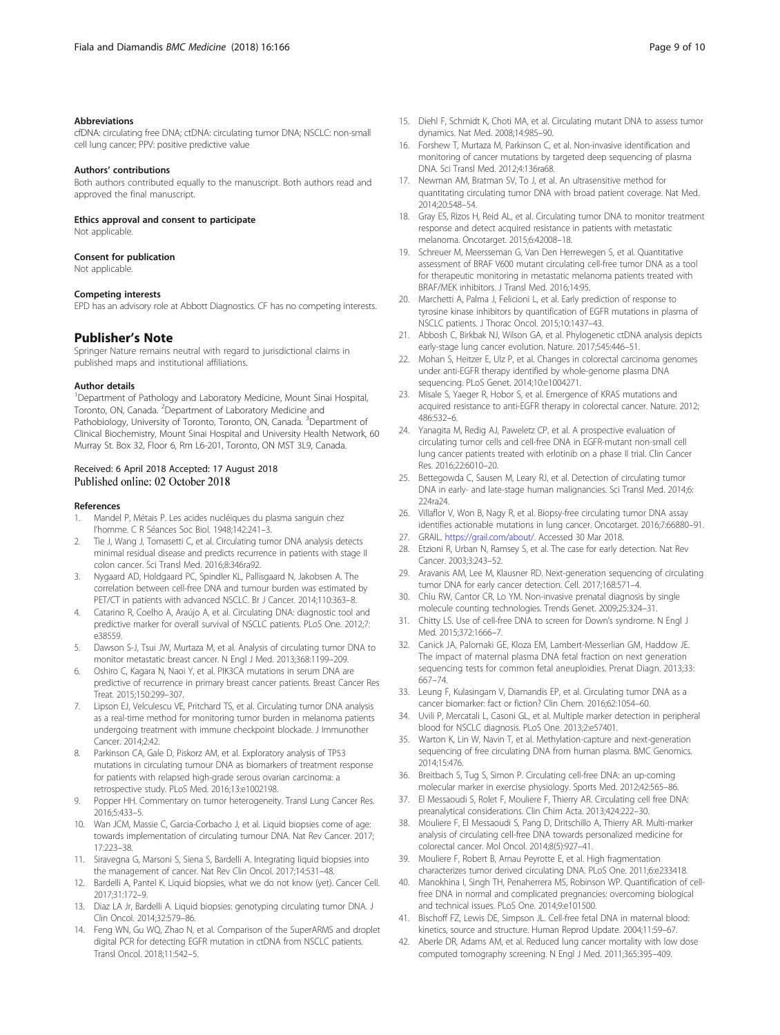#### <span id="page-8-0"></span>Abbreviations

cfDNA: circulating free DNA; ctDNA: circulating tumor DNA; NSCLC: non-small cell lung cancer; PPV: positive predictive value

#### Authors' contributions

Both authors contributed equally to the manuscript. Both authors read and approved the final manuscript.

Ethics approval and consent to participate

Not applicable.

#### Consent for publication

Not applicable.

#### Competing interests

EPD has an advisory role at Abbott Diagnostics. CF has no competing interests.

#### Publisher's Note

Springer Nature remains neutral with regard to jurisdictional claims in published maps and institutional affiliations.

#### Author details

<sup>1</sup>Department of Pathology and Laboratory Medicine, Mount Sinai Hospital, Toronto, ON, Canada. <sup>2</sup> Department of Laboratory Medicine and Pathobiology, University of Toronto, Toronto, ON, Canada. <sup>3</sup>Department of Clinical Biochemistry, Mount Sinai Hospital and University Health Network, 60 Murray St. Box 32, Floor 6, Rm L6-201, Toronto, ON MST 3L9, Canada.

#### Received: 6 April 2018 Accepted: 17 August 2018 Published online: 02 October 2018

#### References

- 1. Mandel P, Métais P. Les acides nucléiques du plasma sanguin chez l'homme. C R Séances Soc Biol. 1948;142:241–3.
- 2. Tie J, Wang J, Tomasetti C, et al. Circulating tumor DNA analysis detects minimal residual disease and predicts recurrence in patients with stage II colon cancer. Sci Transl Med. 2016;8:346ra92.
- 3. Nygaard AD, Holdgaard PC, Spindler KL, Pallisgaard N, Jakobsen A. The correlation between cell-free DNA and tumour burden was estimated by PET/CT in patients with advanced NSCLC. Br J Cancer. 2014;110:363–8.
- 4. Catarino R, Coelho A, Araújo A, et al. Circulating DNA: diagnostic tool and predictive marker for overall survival of NSCLC patients. PLoS One. 2012;7: e38559.
- 5. Dawson S-J, Tsui JW, Murtaza M, et al. Analysis of circulating tumor DNA to monitor metastatic breast cancer. N Engl J Med. 2013;368:1199–209.
- 6. Oshiro C, Kagara N, Naoi Y, et al. PIK3CA mutations in serum DNA are predictive of recurrence in primary breast cancer patients. Breast Cancer Res Treat. 2015;150:299–307.
- 7. Lipson EJ, Velculescu VE, Pritchard TS, et al. Circulating tumor DNA analysis as a real-time method for monitoring tumor burden in melanoma patients undergoing treatment with immune checkpoint blockade. J Immunother Cancer. 2014;2:42.
- 8. Parkinson CA, Gale D, Piskorz AM, et al. Exploratory analysis of TP53 mutations in circulating tumour DNA as biomarkers of treatment response for patients with relapsed high-grade serous ovarian carcinoma: a retrospective study. PLoS Med. 2016;13:e1002198.
- 9. Popper HH. Commentary on tumor heterogeneity. Transl Lung Cancer Res. 2016;5:433–5.
- 10. Wan JCM, Massie C, Garcia-Corbacho J, et al. Liquid biopsies come of age: towards implementation of circulating tumour DNA. Nat Rev Cancer. 2017; 17:223–38.
- 11. Siravegna G, Marsoni S, Siena S, Bardelli A. Integrating liquid biopsies into the management of cancer. Nat Rev Clin Oncol. 2017;14:531–48.
- 12. Bardelli A, Pantel K. Liquid biopsies, what we do not know (yet). Cancer Cell. 2017;31:172–9.
- 13. Diaz LA Jr, Bardelli A. Liquid biopsies: genotyping circulating tumor DNA. J Clin Oncol. 2014;32:579–86.
- 14. Feng WN, Gu WQ, Zhao N, et al. Comparison of the SuperARMS and droplet digital PCR for detecting EGFR mutation in ctDNA from NSCLC patients. Transl Oncol. 2018;11:542–5.
- 15. Diehl F, Schmidt K, Choti MA, et al. Circulating mutant DNA to assess tumor dynamics. Nat Med. 2008;14:985–90.
- 16. Forshew T, Murtaza M, Parkinson C, et al. Non-invasive identification and monitoring of cancer mutations by targeted deep sequencing of plasma DNA. Sci Transl Med. 2012;4:136ra68.
- 17. Newman AM, Bratman SV, To J, et al. An ultrasensitive method for quantitating circulating tumor DNA with broad patient coverage. Nat Med. 2014;20:548–54.
- 18. Gray ES, Rizos H, Reid AL, et al. Circulating tumor DNA to monitor treatment response and detect acquired resistance in patients with metastatic melanoma. Oncotarget. 2015;6:42008–18.
- 19. Schreuer M, Meersseman G, Van Den Herrewegen S, et al. Quantitative assessment of BRAF V600 mutant circulating cell-free tumor DNA as a tool for therapeutic monitoring in metastatic melanoma patients treated with BRAF/MEK inhibitors. J Transl Med. 2016;14:95.
- 20. Marchetti A, Palma J, Felicioni L, et al. Early prediction of response to tyrosine kinase inhibitors by quantification of EGFR mutations in plasma of NSCLC patients. J Thorac Oncol. 2015;10:1437–43.
- 21. Abbosh C, Birkbak NJ, Wilson GA, et al. Phylogenetic ctDNA analysis depicts early-stage lung cancer evolution. Nature. 2017;545:446–51.
- 22. Mohan S, Heitzer E, Ulz P, et al. Changes in colorectal carcinoma genomes under anti-EGFR therapy identified by whole-genome plasma DNA sequencing. PLoS Genet. 2014;10:e1004271.
- 23. Misale S, Yaeger R, Hobor S, et al. Emergence of KRAS mutations and acquired resistance to anti-EGFR therapy in colorectal cancer. Nature. 2012; 486:532–6.
- 24. Yanagita M, Redig AJ, Paweletz CP, et al. A prospective evaluation of circulating tumor cells and cell-free DNA in EGFR-mutant non-small cell lung cancer patients treated with erlotinib on a phase II trial. Clin Cancer Res. 2016;22:6010–20.
- 25. Bettegowda C, Sausen M, Leary RJ, et al. Detection of circulating tumor DNA in early- and late-stage human malignancies. Sci Transl Med. 2014;6: 224ra24.
- 26. Villaflor V, Won B, Nagy R, et al. Biopsy-free circulating tumor DNA assay identifies actionable mutations in lung cancer. Oncotarget. 2016;7:66880–91.
- 27. GRAIL. [https://grail.com/about/](https://grail.com/about). Accessed 30 Mar 2018.
- 28. Etzioni R, Urban N, Ramsey S, et al. The case for early detection. Nat Rev Cancer. 2003;3:243–52.
- 29. Aravanis AM, Lee M, Klausner RD. Next-generation sequencing of circulating tumor DNA for early cancer detection. Cell. 2017;168:571–4.
- 30. Chiu RW, Cantor CR, Lo YM. Non-invasive prenatal diagnosis by single molecule counting technologies. Trends Genet. 2009;25:324–31.
- 31. Chitty LS. Use of cell-free DNA to screen for Down's syndrome. N Engl J Med. 2015;372:1666–7.
- 32. Canick JA, Palomaki GE, Kloza EM, Lambert-Messerlian GM, Haddow JE. The impact of maternal plasma DNA fetal fraction on next generation sequencing tests for common fetal aneuploidies. Prenat Diagn. 2013;33: 667–74.
- 33. Leung F, Kulasingam V, Diamandis EP, et al. Circulating tumor DNA as a cancer biomarker: fact or fiction? Clin Chem. 2016;62:1054–60.
- 34. Uvili P, Mercatali L, Casoni GL, et al. Multiple marker detection in peripheral blood for NSCLC diagnosis. PLoS One. 2013;2:e57401.
- 35. Warton K, Lin W, Navin T, et al. Methylation-capture and next-generation sequencing of free circulating DNA from human plasma. BMC Genomics. 2014;15:476.
- 36. Breitbach S, Tug S, Simon P. Circulating cell-free DNA: an up-coming molecular marker in exercise physiology. Sports Med. 2012;42:565–86.
- 37. El Messaoudi S, Rolet F, Mouliere F, Thierry AR. Circulating cell free DNA: preanalytical considerations. Clin Chim Acta. 2013;424:222–30.
- 38. Mouliere F, El Messaoudi S, Pang D, Dritschillo A, Thierry AR. Multi-marker analysis of circulating cell-free DNA towards personalized medicine for colorectal cancer. Mol Oncol. 2014;8(5):927–41.
- 39. Mouliere F, Robert B, Arnau Peyrotte E, et al. High fragmentation characterizes tumor derived circulating DNA. PLoS One. 2011;6:e233418.
- 40. Manokhina I, Singh TH, Penaherrera MS, Robinson WP. Quantification of cellfree DNA in normal and complicated pregnancies: overcoming biological and technical issues. PLoS One. 2014;9:e101500.
- 41. Bischoff FZ, Lewis DE, Simpson JL. Cell-free fetal DNA in maternal blood: kinetics, source and structure. Human Reprod Update. 2004;11:59–67.
- 42. Aberle DR, Adams AM, et al. Reduced lung cancer mortality with low dose computed tomography screening. N Engl J Med. 2011;365:395–409.